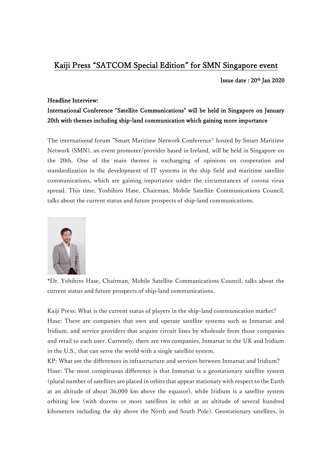## Kaiji Press "SATCOM Special Edition" for SMN Singapore event

Issue date:  $20<sup>th</sup>$  Jan 2020

## Headline Interview:

## International Conference "Satellite Communications" will be held in Singapore on January 20th with themes including ship-land communication which gaining more importance

The international forum "Smart Maritime Network Conference" hosted by Smart Maritime Network (SMN), an event promoter/provider based in Ireland, will be held in Singapore on the 20th. One of the main themes is exchanging of opinions on cooperation and standardization in the development of IT systems in the ship field and maritime satellite communications, which are gaining importance under the circumstances of corona virus spread. This time, Yoshihiro Hase, Chairman, Mobile Satellite Communications Council, talks about the current status and future prospects of ship-land communications.



\*Dr. Yohihiro Hase, Chairman, Mobile Satellite Communications Council, talks about the current status and future prospects of ship-land communications.

Kaiji Press: What is the current status of players in the ship-land communication market? Hase: There are companies that own and operate satellite systems such as Inmarsat and Iridium, and service providers that acquire circuit lines by wholesale from those companies and retail to each user. Currently, there are two companies, Inmarsat in the UK and Iridium in the U.S., that can serve the world with a single satellite system.

KP: What are the differences in infrastructure and services between Inmarsat and Iridium? Hase: The most conspicuous difference is that Inmarsat is a geostationary satellite system (plural number of satellites are placed in orbits that appear stationary with respect to the Earth at an altitude of about 36,000 km above the equator), while Iridium is a satellite system orbiting low (with dozens or more satellites in orbit at an altitude of several hundred kilometers including the sky above the North and South Pole). Geostationary satellites, in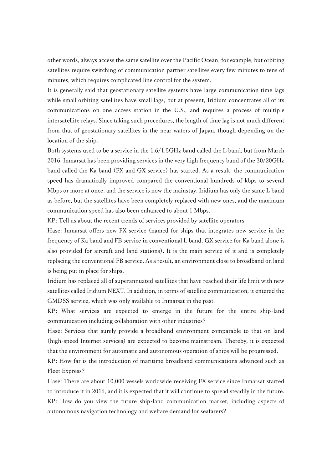other words, always access the same satellite over the Pacific Ocean, for example, but orbiting satellites require switching of communication partner satellites every few minutes to tens of minutes, which requires complicated line control for the system.

It is generally said that geostationary satellite systems have large communication time lags while small orbiting satellites have small lags, but at present, Iridium concentrates all of its communications on one access station in the U.S., and requires a process of multiple intersatellite relays. Since taking such procedures, the length of time lag is not much different from that of geostationary satellites in the near waters of Japan, though depending on the location of the ship.

Both systems used to be a service in the 1.6/1.5GHz band called the L band, but from March 2016, Inmarsat has been providing services in the very high frequency band of the 30/20GHz band called the Ka band (FX and GX service) has started. As a result, the communication speed has dramatically improved compared the conventional hundreds of kbps to several Mbps or more at once, and the service is now the mainstay. Iridium has only the same L band as before, but the satellites have been completely replaced with new ones, and the maximum communication speed has also been enhanced to about 1 Mbps.

KP: Tell us about the recent trends of services provided by satellite operators.

Hase: Inmarsat offers new FX service (named for ships that integrates new service in the frequency of Ka band and FB service in conventional L band, GX service for Ka band alone is also provided for aircraft and land stations). It is the main service of it and is completely replacing the conventional FB service. As a result, an environment close to broadband on land is being put in place for ships.

Iridium has replaced all of superannuated satellites that have reached their life limit with new satellites called Iridium NEXT. In addition, in terms of satellite communication, it entered the GMDSS service, which was only available to Inmarsat in the past.

KP: What services are expected to emerge in the future for the entire ship-land communication including collaboration with other industries?

Hase: Services that surely provide a broadband environment comparable to that on land (high-speed Internet services) are expected to become mainstream. Thereby, it is expected that the environment for automatic and autonomous operation of ships will be progressed.

KP: How far is the introduction of maritime broadband communications advanced such as Fleet Express?

Hase: There are about 10,000 vessels worldwide receiving FX service since Inmarsat started to introduce it in 2016, and it is expected that it will continue to spread steadily in the future. KP: How do you view the future ship-land communication market, including aspects of autonomous navigation technology and welfare demand for seafarers?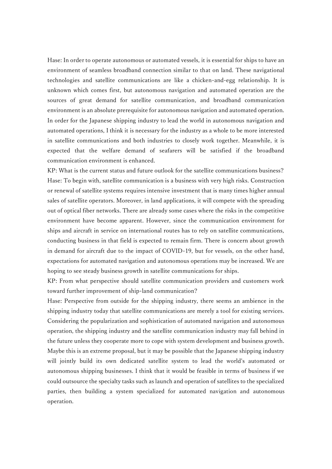Hase: In order to operate autonomous or automated vessels, it is essential for ships to have an environment of seamless broadband connection similar to that on land. These navigational technologies and satellite communications are like a chicken-and-egg relationship. It is unknown which comes first, but autonomous navigation and automated operation are the sources of great demand for satellite communication, and broadband communication environment is an absolute prerequisite for autonomous navigation and automated operation. In order for the Japanese shipping industry to lead the world in autonomous navigation and automated operations, I think it is necessary for the industry as a whole to be more interested in satellite communications and both industries to closely work together. Meanwhile, it is expected that the welfare demand of seafarers will be satisfied if the broadband communication environment is enhanced.

KP: What is the current status and future outlook for the satellite communications business? Hase: To begin with, satellite communication is a business with very high risks. Construction or renewal of satellite systems requires intensive investment that is many times higher annual sales of satellite operators. Moreover, in land applications, it will compete with the spreading out of optical fiber networks. There are already some cases where the risks in the competitive environment have become apparent. However, since the communication environment for ships and aircraft in service on international routes has to rely on satellite communications, conducting business in that field is expected to remain firm. There is concern about growth in demand for aircraft due to the impact of COVID-19, but for vessels, on the other hand, expectations for automated navigation and autonomous operations may be increased. We are hoping to see steady business growth in satellite communications for ships.

KP: From what perspective should satellite communication providers and customers work toward further improvement of ship-land communication?

Hase: Perspective from outside for the shipping industry, there seems an ambience in the shipping industry today that satellite communications are merely a tool for existing services. Considering the popularization and sophistication of automated navigation and autonomous operation, the shipping industry and the satellite communication industry may fall behind in the future unless they cooperate more to cope with system development and business growth. Maybe this is an extreme proposal, but it may be possible that the Japanese shipping industry will jointly build its own dedicated satellite system to lead the world's automated or autonomous shipping businesses. I think that it would be feasible in terms of business if we could outsource the specialty tasks such as launch and operation of satellites to the specialized parties, then building a system specialized for automated navigation and autonomous operation.